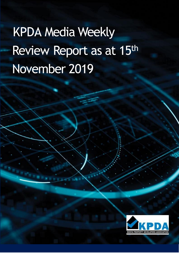# KPDA Media Weekly Review Report as at 15th November 2019

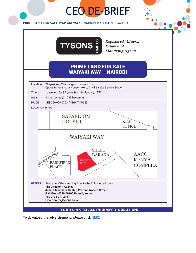## CEO DE-BRIEF



#### **PRIME LAND FOR SALE WAIYAKI WAY – NAIROBI BY TYSONS LIMITED**



**Registered Valuers, Estate and Managing Agents** 

## **PRIME LAND FOR SALE WAIYAKI WAY - NAIROBI**



"YOUR LINK TO ALL PROPERTY SOLUTION:

To download the advertisement, please click **HERE**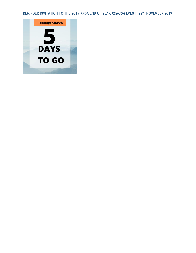**REMINDER INVITATION TO THE 2019 KPDA END OF YEAR** *KOROGA* **EVENT, 22ND NOVEMBER 2019**

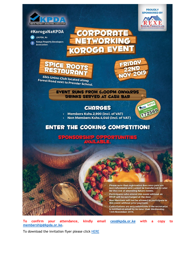



**ROOFING PRODUCTS LTD.** 

#KorogaNaKPDA

**O** @KPDA\_Ke **Kenya Property Developers** Association



 $\left| \cdot \right|$   $\left| \cdot \right|$ 

CORPORATE

#### **EVENT RUNS FROM 6:00PM ONWARDS DRINKS SERVED AT CASH BAR**

## **CHARGES**



• Members Kshs.2,900 (incl. of VAT)

Non Members Kshs.4,640 (incl. of VAT)

## **ENTER THE COOKING COMPETITION!**

**SPONSORSHIP**  $\bullet$  : TUNFIES  $|0\rangle$ 

> Please note that registration fees once paid are non-refundable and cannot be transferred to cater for the cost of attending future events. Participants who attend this event without an RSVP will be surcharged at the door. Non Members will not be allowed to participate in this event without prior payment. Cancellations are only refundable if the secretariat is notified on email by no later than Wednesday, 13th November 2019.

**To** attendance, kindly email ceo@kpda.or.ke with a confirm your copy to membership@kpda.or.ke.

To download the invitation flyer please click HERE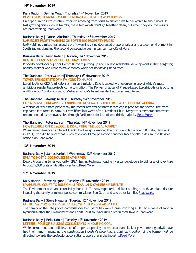#### **14th November 2019**

#### **Daily Nation | Delfhin Mugo| Thursday 14th November 2019**

**DEVELOPERS TURNING TO GREEN INFRASTRUCTURE TO WOO BUYERS**

On paper, green infrastructure refers to anything from parks to arboretums to backyards to green roofs. In fast growing cities such as Nairobi, these two words don't go together often, but when they do, the results are breathtaking[.Read More.](https://www.nation.co.ke/lifestyle/dn2/Developers-turning-to-green-infrastructure-to-woo-buyers/957860-5347840-hm4c7y/index.html)

#### **Business Daily | Patrick Alushula| Thursday 14th November 2019**

**UAP ISSUES PROFIT WARNING ON SOFTENING PROPERTY PRICES**

UAP Holdings Limited has issued a profit warning citing depressed property prices and a tough environment in South Sudan, signaling the second consecutive year in loss territory[.Read More.](https://www.businessdailyafrica.com/corporate/companies/4003102-5349048-a3eupq/index.html)

#### **Business Daily| Kevin Rotich|Thursday 14th November 2019**

#### **REALTOR PLANS SH7BN KILIFI HOLIDAY HOMES**

Property developer Superior Homes Kenya is putting up a Sh7 billion residential development in Kilifi targeting holiday-makers who want to make money when not holidaying. Read More.

### **The Standard| Peter Muiruri|Thursday 14th November 2019**

#### **TOWER BRINGS TASTE OF NEW YORK TO NAIROBI**

Lordship Africa CEO Anuj Kale is a man on a mission. Kale is tasked with overseeing one of Africa's most ambitious residential projects come to fruition. The Kenyan chapter of Prague-based Lordship Africa is putting up 88 Nairobi Condominium, sub-Saharan Africa's tallest residential tower[.Read More.](https://www.standardmedia.co.ke/business/article/2001349370/tower-brings-taste-of-new-york-to-nairobi)

#### **The Standard | Mwangi Muiruri|Thursday 14th November 2019**

**EXPERTS INSIST UNCAPPING LENDING INTEREST RATE GOOD FOR STATE'S HOUSING AGENDA**

A section of real estate players say the recent removal of interest rate cap is good for the sector. The rates cap came into force in 2016, but was lifted last week after President Uhuru Kenyatta's memorandum which recommended its removal sailed through Parliament for lack of two-thirds majority[.Read More.](https://www.standardmedia.co.ke/business/article/2001349366/move-on-lending-rates-good-for-sector-say-experts)

#### **The Standard | Peter Muiruri |Thursday 14th November 2019**

#### **HOW FLEXIBLE OFFICE MODEL IS DISRUPTING THE LOCAL MARKET**

When famed American architect Frank Lloyd Wright designed the first open plan office in Buffalo, New York, in 1903, little did he know that his creation would morph into yet another facet of office design: the flexible office plan[.Read More.](https://www.standardmedia.co.ke/business/article/2001349345/how-flexible-office-model-is-disrupting-the-local-market)

#### **13th November 2019**

#### **Business Daily | James Kariuki| Wednesday 13th November 2019**

**EPZA TO HOST 5,000 HOUSES IN ATHI RIVER**

Export Processing Zones Authority (EPZA) has invited mass housing investor-developers to bid for a joint venture to build 5,000 units on its Athi River land[.Read More.](https://www.businessdailyafrica.com/markets/marketnews/EPZA-to-host-5-000-houses-in-Athi-River/3815534-5347588-rd9ra1z/index.html)

#### **12th November 2019**

#### **Daily Nation | Steve Njuguna| Tuesday 12th November 2019**

**NYAHURURU COURT TO RULE ON 48-YEAR LAND OWNERSHIP DISPUTE**

The Environment and Land court in Nyahururu is Tuesday expected to deliver a ruling on a 48-year land dispute involving the family of former police commissioner Ben Gethi and two other families. Read More.

#### **Business Daily | Steve Njuguna| Tuesday 12th November 2019**

**GETHI FAMILY WINS 300-ACRE LAND CASE AFTER 48-YEAR BATTLE**

The family of the late police commissioner Ben Gethi has won a case involving a 303 acre piece of land in Nyandarua after the Environment and Lands Court in Nyahururu ruled in their favour[.Read More.](https://www.businessdailyafrica.com/economy/Gethi-family-wins-300-acre-land-case/3946234-5346448-152n41t/index.html)

#### **Business Daily | Felix Ndolo| Tuesday 12th November 2019**

**LETTERS: ROLE OF BUILDING CONSULTANTS IN HOUSING GOAL**

While corruption, poor policies, lack of proper supporting infrastructure and lack of government goodwill have had their hand in muzzling the construction industry's potential, a significant portion of the blame must be directed towards the professional consultants operating in the industry. Read More.